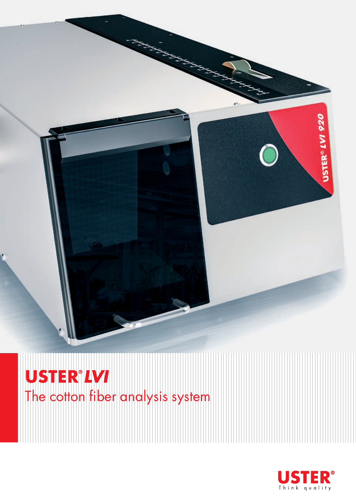

**USTER<sup>®</sup>LVI**<br>The cotton fiber analysis system

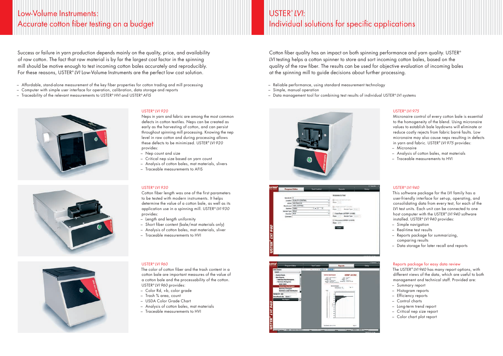### Low-Volume Instruments: Accurate cotton fiber testing on a budget

## USTER® *LVI*: Individual solutions for specific applications

Cotton fiber quality has an impact on both spinning performance and yarn quality. USTER<sup>®</sup> *LVI* testing helps a cotton spinner to store and sort incoming cotton bales, based on the quality of the raw fiber. The results can be used for objective evaluation of incoming bales at the spinning mill to guide decisions about further processing.

- Reliable performance, using standard measurement technology
- Simple, manual operation
- Data management tool for combining test results of individual USTER® *LVI* systems







### USTER® *LVI 920*

Neps in yarn and fabric are among the most common defects in cotton textiles. Neps can be created as early as the harvesting of cotton, and can persist throughout spinning mill processing. Knowing the nep level in raw cotton and during processing allows these defects to be minimized. USTER® *LVI 920* provides:

- Nep count and size
- Critical nep size based on yarn count
- Analysis of cotton bales, mat materials, slivers
- Traceable measurements to AFIS

### USTER® *LVI 930*

Cotton fiber length was one of the first parameters to be tested with modern instruments. It helps determine the value of a cotton bale, as well as its application use in a spinning mill. USTER® *LVI 930* provides:

- Length and length uniformity
- Short fiber content (bale/mat materials only)
- Analysis of cotton bales, mat materials, sliver
- Traceable measurements to HVI

### USTER® *LVI 960*

The color of cotton fiber and the trash content in a cotton bale are important measures of the value of a cotton bale and the processability of the cotton. USTER® *LVI 960* provides:

- Color Rd, +b, color grade
- Trash % area, count
- USDA Color Grade Chart
- Analysis of cotton bales, mat materials
- Traceable measurements to HVI

### USTER® *LVI 940*

This software package for the LVI family has a user-friendly interface for set-up, operating, and consolidating data from every test, for each of the LVI test units. Each unit can be connected to one host computer with the USTER® *LVI 940* software installed. USTER® *LVI 940* provides:

- Simple navigation
- Real-time test results
- Reports package for summarizing, comparing results
- Data storage for later recall and reports

#### Reports package for easy data review

The USTER® *LVI 940* has many report options, with different views of the data, which are useful to both management and technical staff. Provided are:

- Summary report
- Histogram reports
- Efficiency reports
- Control charts
- Long-term trend report
- Critical nep size report
- Color chart plot report

### USTER® *LVI 975*

Micronaire control of every cotton bale is essential to the homogeneity of the blend. Using micronaire values to establish bale laydowns will eliminate or reduce costly rejects from fabric barré faults. Low micronaire may also cause neps resulting in defects in yarn and fabric. USTER® *LVI 975* provides:

- Micronaire
- Analysis of cotton bales, mat materials
- Traceable measurements to HVI

Success or failure in yarn production depends mainly on the quality, price, and availability of raw cotton. The fact that raw material is by far the largest cost factor in the spinning mill should be motive enough to test incoming cotton bales accurately and reproducibly. For these reasons, USTER® *LVI* Low-Volume Instruments are the perfect low cost solution.

- Affordable, stand-alone measurement of the key fiber properties for cotton trading and mill processing
- Computer with simple user interface for operation, calibration, data storage and reports
- Traceability of the relevant measurements to USTER® *HVI* and USTER® *AFIS*